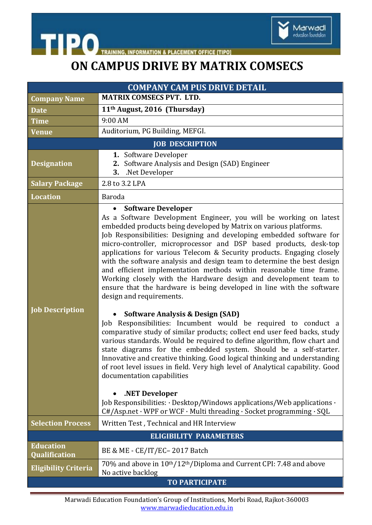



## **ON CAMPUS DRIVE BY MATRIX COMSECS**

| <b>COMPANY CAM PUS DRIVE DETAIL</b>      |                                                                                                                                                                                                                                                                                                                                                                                                                                                                                                                                                                                                                                                                                                                                                                                                                                                                                                                                                                                                                                                                                                                                                                                                                                                                                                                                                              |
|------------------------------------------|--------------------------------------------------------------------------------------------------------------------------------------------------------------------------------------------------------------------------------------------------------------------------------------------------------------------------------------------------------------------------------------------------------------------------------------------------------------------------------------------------------------------------------------------------------------------------------------------------------------------------------------------------------------------------------------------------------------------------------------------------------------------------------------------------------------------------------------------------------------------------------------------------------------------------------------------------------------------------------------------------------------------------------------------------------------------------------------------------------------------------------------------------------------------------------------------------------------------------------------------------------------------------------------------------------------------------------------------------------------|
| <b>Company Name</b>                      | <b>MATRIX COMSECS PVT. LTD.</b>                                                                                                                                                                                                                                                                                                                                                                                                                                                                                                                                                                                                                                                                                                                                                                                                                                                                                                                                                                                                                                                                                                                                                                                                                                                                                                                              |
| <b>Date</b>                              | 11 <sup>th</sup> August, 2016 (Thursday)                                                                                                                                                                                                                                                                                                                                                                                                                                                                                                                                                                                                                                                                                                                                                                                                                                                                                                                                                                                                                                                                                                                                                                                                                                                                                                                     |
| <b>Time</b>                              | 9:00 AM                                                                                                                                                                                                                                                                                                                                                                                                                                                                                                                                                                                                                                                                                                                                                                                                                                                                                                                                                                                                                                                                                                                                                                                                                                                                                                                                                      |
| Venue                                    | Auditorium, PG Building, MEFGI.                                                                                                                                                                                                                                                                                                                                                                                                                                                                                                                                                                                                                                                                                                                                                                                                                                                                                                                                                                                                                                                                                                                                                                                                                                                                                                                              |
| <b>JOB DESCRIPTION</b>                   |                                                                                                                                                                                                                                                                                                                                                                                                                                                                                                                                                                                                                                                                                                                                                                                                                                                                                                                                                                                                                                                                                                                                                                                                                                                                                                                                                              |
| <b>Designation</b>                       | 1. Software Developer<br>2. Software Analysis and Design (SAD) Engineer<br>3. Net Developer                                                                                                                                                                                                                                                                                                                                                                                                                                                                                                                                                                                                                                                                                                                                                                                                                                                                                                                                                                                                                                                                                                                                                                                                                                                                  |
| <b>Salary Package</b>                    | 2.8 to 3.2 LPA                                                                                                                                                                                                                                                                                                                                                                                                                                                                                                                                                                                                                                                                                                                                                                                                                                                                                                                                                                                                                                                                                                                                                                                                                                                                                                                                               |
| <b>Location</b>                          | Baroda                                                                                                                                                                                                                                                                                                                                                                                                                                                                                                                                                                                                                                                                                                                                                                                                                                                                                                                                                                                                                                                                                                                                                                                                                                                                                                                                                       |
| <b>Job Description</b>                   | <b>Software Developer</b><br>As a Software Development Engineer, you will be working on latest<br>embedded products being developed by Matrix on various platforms.<br>Job Responsibilities: Designing and developing embedded software for<br>micro-controller, microprocessor and DSP based products, desk-top<br>applications for various Telecom & Security products. Engaging closely<br>with the software analysis and design team to determine the best design<br>and efficient implementation methods within reasonable time frame.<br>Working closely with the Hardware design and development team to<br>ensure that the hardware is being developed in line with the software<br>design and requirements.<br><b>Software Analysis &amp; Design (SAD)</b><br>Job Responsibilities: Incumbent would be required to conduct a<br>comparative study of similar products; collect end user feed backs, study<br>various standards. Would be required to define algorithm, flow chart and<br>state diagrams for the embedded system. Should be a self-starter.<br>Innovative and creative thinking. Good logical thinking and understanding<br>of root level issues in field. Very high level of Analytical capability. Good<br>documentation capabilities<br>.NET Developer<br>Job Responsibilities: · Desktop/Windows applications/Web applications · |
| <b>Selection Process</b>                 | C#/Asp.net · WPF or WCF · Multi threading · Socket programming · SQL<br>Written Test, Technical and HR Interview                                                                                                                                                                                                                                                                                                                                                                                                                                                                                                                                                                                                                                                                                                                                                                                                                                                                                                                                                                                                                                                                                                                                                                                                                                             |
| <b>ELIGIBILITY PARAMETERS</b>            |                                                                                                                                                                                                                                                                                                                                                                                                                                                                                                                                                                                                                                                                                                                                                                                                                                                                                                                                                                                                                                                                                                                                                                                                                                                                                                                                                              |
| <b>Education</b><br><b>Qualification</b> | BE & ME - CE/IT/EC-2017 Batch                                                                                                                                                                                                                                                                                                                                                                                                                                                                                                                                                                                                                                                                                                                                                                                                                                                                                                                                                                                                                                                                                                                                                                                                                                                                                                                                |
| <b>Eligibility Criteria</b>              | 70% and above in 10 <sup>th</sup> /12 <sup>th</sup> /Diploma and Current CPI: 7.48 and above<br>No active backlog                                                                                                                                                                                                                                                                                                                                                                                                                                                                                                                                                                                                                                                                                                                                                                                                                                                                                                                                                                                                                                                                                                                                                                                                                                            |
| <b>TO PARTICIPATE</b>                    |                                                                                                                                                                                                                                                                                                                                                                                                                                                                                                                                                                                                                                                                                                                                                                                                                                                                                                                                                                                                                                                                                                                                                                                                                                                                                                                                                              |

Marwadi Education Foundation's Group of Institutions, Morbi Road, Rajkot-360003 www.marwadieducation.edu.in